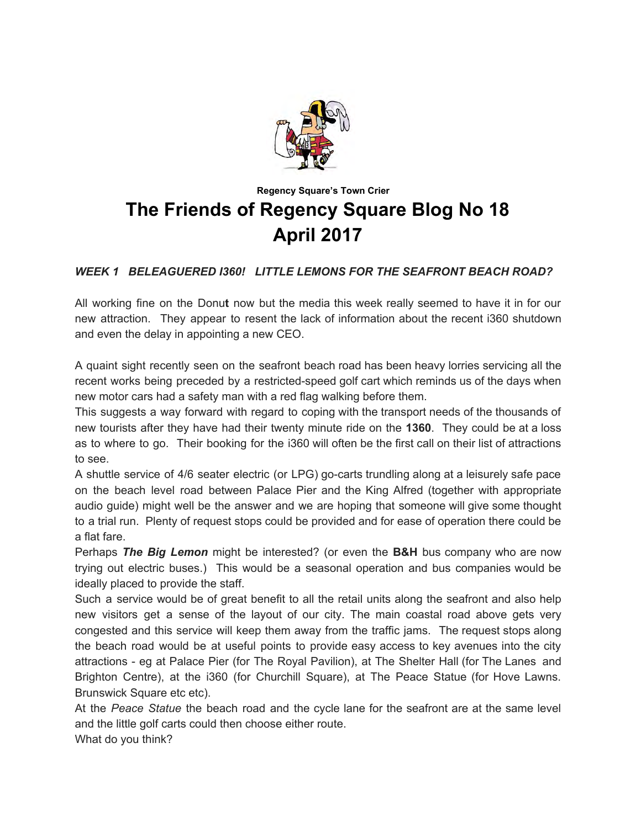

# **Regency Square's Town Crier The Friends of Regency Square Blog No 18 April 2017**

## *WEEK 1 BELEAGUERED I360! LITTLE LEMONS FOR THE SEAFRONT BEACH ROAD?*

All working fine on the Donut now but the media this week really seemed to have it in for our new attraction. They appear to resent the lack of information about the recent i360 shutdown and even the delay in appointing a new CEO.

A quaint sight recently seen on the seafront beach road has been heavy lorries servicing all the recent works being preceded by a restricted-speed golf cart which reminds us of the days when new motor cars had a safety man with a red flag walking before them.

This suggests a way forward with regard to coping with the transport needs of the thousands of new tourists after they have had their twenty minute ride on the **1360**. They could be at a loss as to where to go. Their booking for the i360 will often be the first call on their list of attractions to see.

A shuttle service of 4/6 seater electric (or LPG) go-carts trundling along at a leisurely safe pace on the beach level road between Palace Pier and the King Alfred (together with appropriate audio guide) might well be the answer and we are hoping that someone will give some thought to a trial run. Plenty of request stops could be provided and for ease of operation there could be a flat fare.

Perhaps *The Big Lemon* might be interested? (or even the **B&H** bus company who are now trying out electric buses.) This would be a seasonal operation and bus companies would be ideally placed to provide the staff.

Such a service would be of great benefit to all the retail units along the seafront and also help new visitors get a sense of the layout of our city. The main coastal road above gets very congested and this service will keep them away from the traffic jams. The request stops along the beach road would be at useful points to provide easy access to key avenues into the city attractions - eg at Palace Pier (for The Royal Pavilion), at The Shelter Hall (for The Lanes and Brighton Centre), at the i360 (for Churchill Square), at The Peace Statue (for Hove Lawns. Brunswick Square etc etc).

At the *Peace Statue* the beach road and the cycle lane for the seafront are at the same level and the little golf carts could then choose either route. What do you think?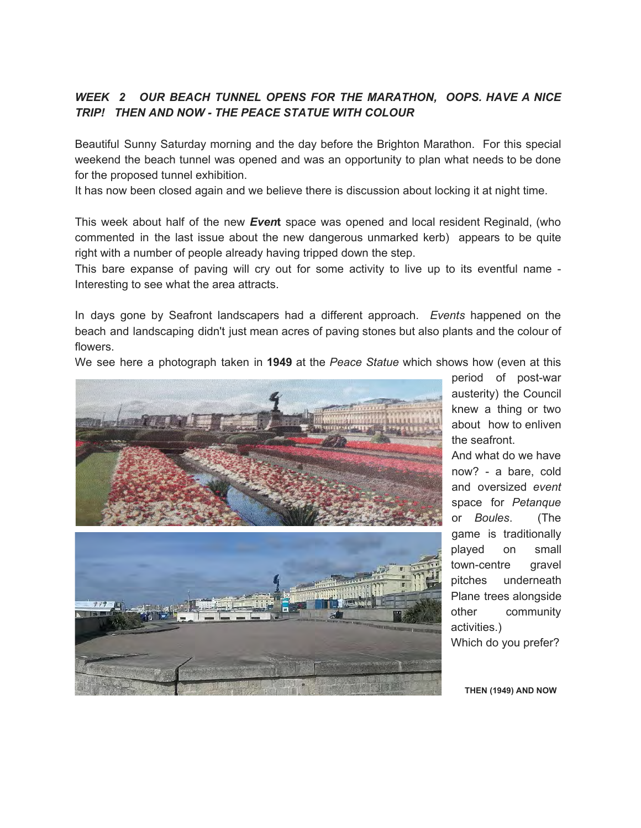#### *WEEK 2 OUR BEACH TUNNEL OPENS FOR THE MARATHON, OOPS. HAVE A NICE TRIP! THEN AND NOW - THE PEACE STATUE WITH COLOUR*

Beautiful Sunny Saturday morning and the day before the Brighton Marathon. For this special weekend the beach tunnel was opened and was an opportunity to plan what needs to be done for the proposed tunnel exhibition.

It has now been closed again and we believe there is discussion about locking it at night time.

This week about half of the new *Even***<sup>t</sup>** space was opened and local resident Reginald, (who commented in the last issue about the new dangerous unmarked kerb) appears to be quite right with a number of people already having tripped down the step.

This bare expanse of paving will cry out for some activity to live up to its eventful name - Interesting to see what the area attracts.

In days gone by Seafront landscapers had a different approach. *Events* happened on the beach and landscaping didn't just mean acres of paving stones but also plants and the colour of flowers.

We see here a photograph taken in **<sup>1949</sup>** at the *Peace Statue* which shows how (even at this





period of post-war austerity) the Council knew a thing or two about how to enliven the seafront.

And what do we have now? - a bare, cold and oversized *event* space for *Petanque* or *Boules*. (The game is traditionally played on small town-centre gravel pitches underneath Plane trees alongside other community activities.)

Which do you prefer?

 **THEN (1949) AND NOW**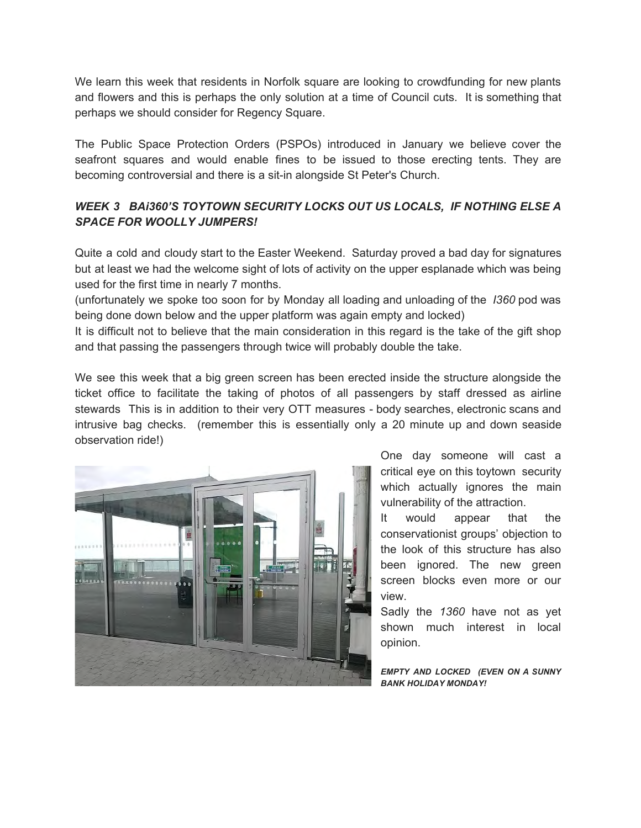We learn this week that residents in Norfolk square are looking to crowdfunding for new plants and flowers and this is perhaps the only solution at a time of Council cuts. It is something that perhaps we should consider for Regency Square.

The Public Space Protection Orders (PSPOs) introduced in January we believe cover the seafront squares and would enable fines to be issued to those erecting tents. They are becoming controversial and there is a sit-in alongside St Peter's Church.

### *WEEK 3 BAi360'S TOYTOWN SECURITY LOCKS OUT US LOCALS, IF NOTHING ELSE A SPACE FOR WOOLLY JUMPERS!*

Quite a cold and cloudy start to the Easter Weekend. Saturday proved a bad day for signatures but at least we had the welcome sight of lots of activity on the upper esplanade which was being used for the first time in nearly 7 months.

(unfortunately we spoke too soon for by Monday all loading and unloading of the *I360* pod was being done down below and the upper platform was again empty and locked)

It is difficult not to believe that the main consideration in this regard is the take of the gift shop and that passing the passengers through twice will probably double the take.

We see this week that a big green screen has been erected inside the structure alongside the ticket office to facilitate the taking of photos of all passengers by staff dressed as airline stewards This is in addition to their very OTT measures - body searches, electronic scans and intrusive bag checks. (remember this is essentially only a 20 minute up and down seaside observation ride!)



One day someone will cast a critical eye on this toytown security which actually ignores the main vulnerability of the attraction.

It would appear that the conservationist groups' objection to the look of this structure has also been ignored. The new green screen blocks even more or our view.

Sadly the *1360* have not as yet shown much interest in local opinion.

*EMPTY AND LOCKED (EVEN ON A SUNNY BANK HOLIDAY MONDAY!*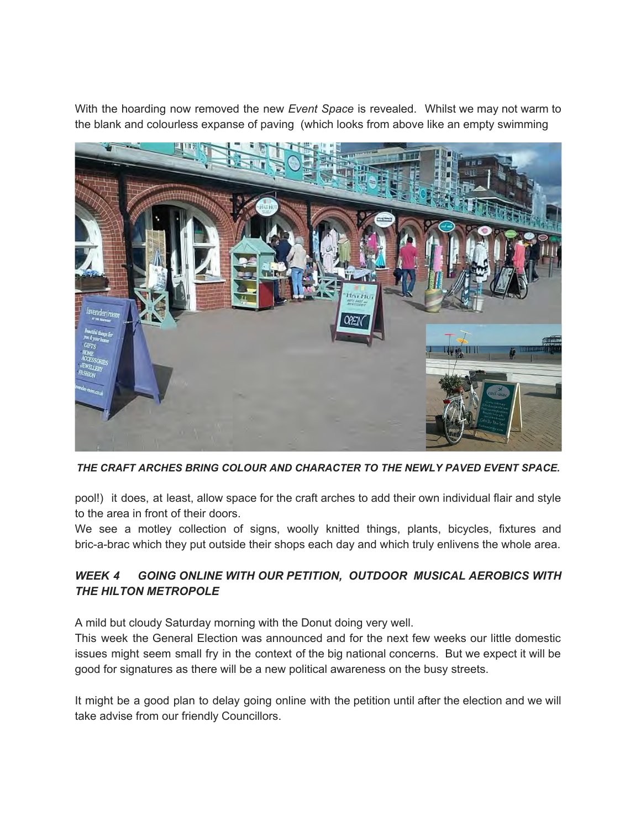With the hoarding now removed the new *Event Space* is revealed. Whilst we may not warm to the blank and colourless expanse of paving (which looks from above like an empty swimming



*THE CRAFT ARCHES BRING COLOUR AND CHARACTER TO THE NEWLY PAVED EVENT SPACE.* 

pool!) it does, at least, allow space for the craft arches to add their own individual flair and style to the area in front of their doors.

We see a motley collection of signs, woolly knitted things, plants, bicycles, fixtures and bric-a-brac which they put outside their shops each day and which truly enlivens the whole area.

### *WEEK 4 GOING ONLINE WITH OUR PETITION, OUTDOOR MUSICAL AEROBICS WITH THE HILTON METROPOLE*

A mild but cloudy Saturday morning with the Donut doing very well.

This week the General Election was announced and for the next few weeks our little domestic issues might seem small fry in the context of the big national concerns. But we expect it will be good for signatures as there will be a new political awareness on the busy streets.

It might be a good plan to delay going online with the petition until after the election and we will take advise from our friendly Councillors.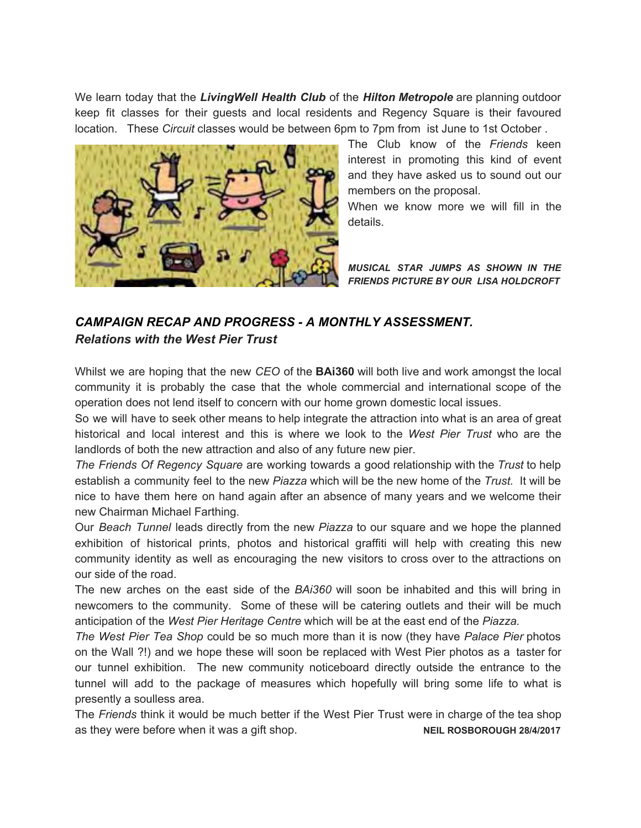We learn today that the *LivingWell Health Club* of the *Hilton Metropole* are planning outdoor keep fit classes for their guests and local residents and Regency Square is their favoured location. These *Circuit* classes would be between 6pm to 7pm from ist June to 1st October .



The Club know of the *Friends* keen interest in promoting this kind of event and they have asked us to sound out our members on the proposal.

When we know more we will fill in the details.

*MUSICAL STAR JUMPS AS SHOWN IN THE FRIENDS PICTURE BY OUR LISA HOLDCROFT* 

## *CAMPAIGN RECAP AND PROGRESS - A MONTHLY ASSESSMENT. Relations with the West Pier Trust*

Whilst we are hoping that the new *CEO* of the **BAi360** will both live and work amongst the local community it is probably the case that the whole commercial and international scope of the operation does not lend itself to concern with our home grown domestic local issues.

So we will have to seek other means to help integrate the attraction into what is an area of great historical and local interest and this is where we look to the *West Pier Trust* who are the landlords of both the new attraction and also of any future new pier.

*The Friends Of Regency Square* are working towards a good relationship with the *Trust* to help establish a community feel to the new *Piazza* which will be the new home of the *Trust.* It will be nice to have them here on hand again after an absence of many years and we welcome their new Chairman Michael Farthing.

Our *Beach Tunnel* leads directly from the new *Piazza* to our square and we hope the planned exhibition of historical prints, photos and historical graffiti will help with creating this new community identity as well as encouraging the new visitors to cross over to the attractions on our side of the road.

The new arches on the east side of the *BAi360* will soon be inhabited and this will bring in newcomers to the community. Some of these will be catering outlets and their will be much anticipation of the *West Pier Heritage Centre* which will be at the east end of the *Piazza.*

*The West Pier Tea Shop* could be so much more than it is now (they have *Palace Pier* photos on the Wall ?!) and we hope these will soon be replaced with West Pier photos as a taster for our tunnel exhibition. The new community noticeboard directly outside the entrance to the tunnel will add to the package of measures which hopefully will bring some life to what is presently a soulless area.

The *Friends* think it would be much better if the West Pier Trust were in charge of the tea shop as they were before when it was a gift shop. **NEIL ROSBOROUGH 28/4/2017**